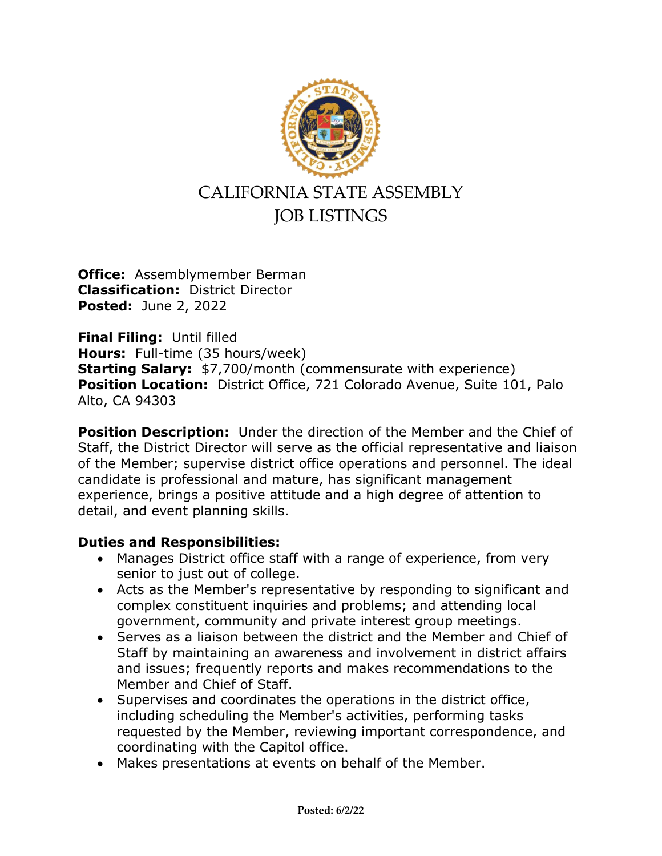

## CALIFORNIA STATE ASSEMBLY JOB LISTINGS

 **Office:** Assemblymember Berman **Classification:** District Director **Posted:** June 2, 2022

 **Final Filing:** Until filled **Hours:** Full-time (35 hours/week) **Starting Salary:** \$7,700/month (commensurate with experience) **Position Location:** District Office, 721 Colorado Avenue, Suite 101, Palo Alto, CA 94303

**Position Description:** Under the direction of the Member and the Chief of Staff, the District Director will serve as the official representative and liaison of the Member; supervise district office operations and personnel. The ideal candidate is professional and mature, has significant management experience, brings a positive attitude and a high degree of attention to detail, and event planning skills.

## **Duties and Responsibilities:**

- Manages District office staff with a range of experience, from very senior to just out of college.
- Acts as the Member's representative by responding to significant and complex constituent inquiries and problems; and attending local government, community and private interest group meetings.
- Serves as a liaison between the district and the Member and Chief of Staff by maintaining an awareness and involvement in district affairs and issues; frequently reports and makes recommendations to the Member and Chief of Staff.
- Supervises and coordinates the operations in the district office, including scheduling the Member's activities, performing tasks requested by the Member, reviewing important correspondence, and coordinating with the Capitol office.
- Makes presentations at events on behalf of the Member.